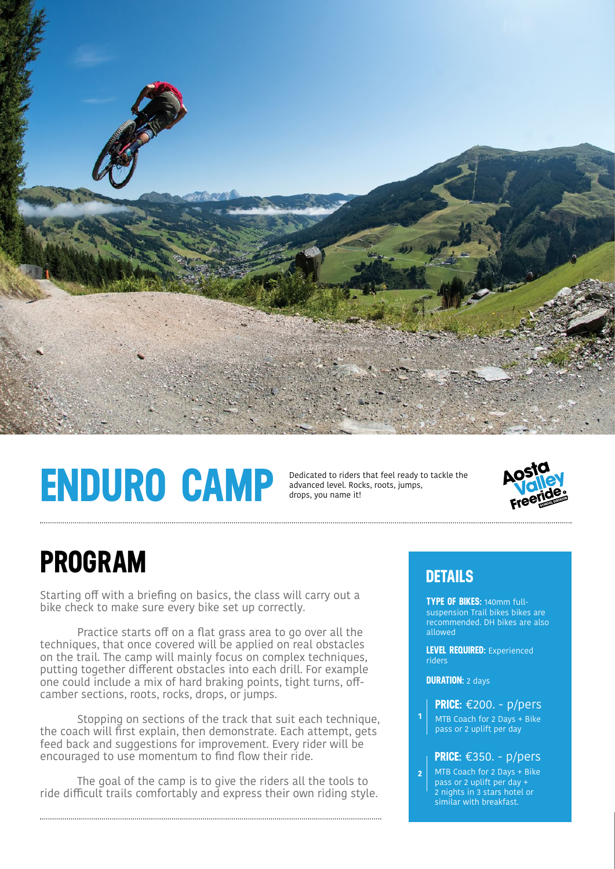

# **ENDURO CAMP**

Dedicated to riders that feel ready to tackle the advanced level. Rocks, roots, jumps, drops, you name it!



### **PROGRAM**

Starting off with a briefing on basics, the class will carry out a bike check to make sure every bike set up correctly.

Practice starts off on a flat grass area to go over all the techniques, that once covered will be applied on real obstacles on the trail. The camp will mainly focus on complex techniques, putting together different obstacles into each drill. For example one could include a mix of hard braking points, tight turns, offcamber sections, roots, rocks, drops, or jumps.

 Stopping on sections of the track that suit each technique, the coach will first explain, then demonstrate. Each attempt, gets feed back and suggestions for improvement. Every rider will be encouraged to use momentum to find flow their ride.

 The goal of the camp is to give the riders all the tools to ride difficult trails comfortably and express their own riding style.

### **DETAILS**

**TYPE OF BIKES:** 140mm fullsuspension Trail bikes bikes are recommended. DH bikes are also allowed

**LEVEL REQUIRED:** Experienced riders

**DURATION:** 2 days

**1**

MTB Coach for 2 Days + Bike pass or 2 uplift per day **PRICE:** €200. - p/pers

#### **PRICE:** €350. - p/pers

MTB Coach for 2 Days + Bike pass or 2 uplift per day + 2 nights in 3 stars hotel or similar with breakfast. **2**